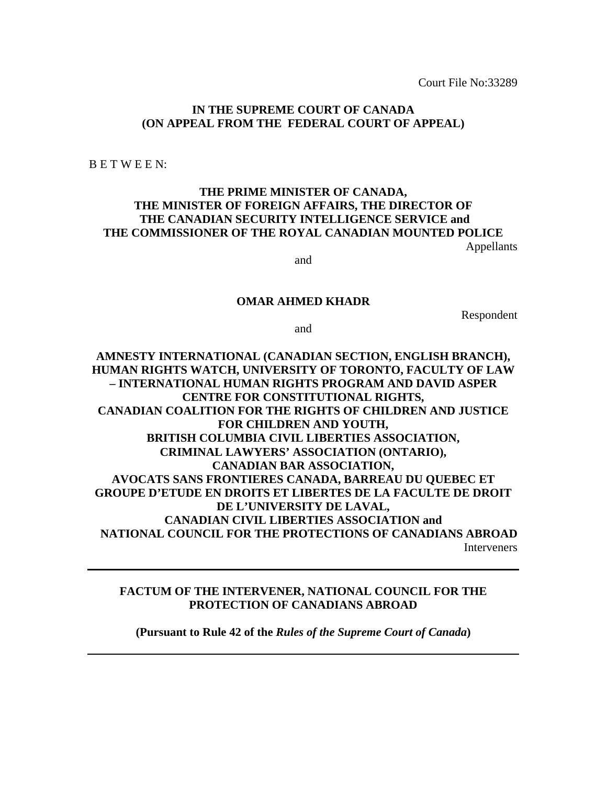Court File No:33289

## **IN THE SUPREME COURT OF CANADA (ON APPEAL FROM THE FEDERAL COURT OF APPEAL)**

B E T W E E N:

## **THE PRIME MINISTER OF CANADA, THE MINISTER OF FOREIGN AFFAIRS, THE DIRECTOR OF THE CANADIAN SECURITY INTELLIGENCE SERVICE and THE COMMISSIONER OF THE ROYAL CANADIAN MOUNTED POLICE**

Appellants

and

### **OMAR AHMED KHADR**

Respondent

and

**AMNESTY INTERNATIONAL (CANADIAN SECTION, ENGLISH BRANCH), HUMAN RIGHTS WATCH, UNIVERSITY OF TORONTO, FACULTY OF LAW – INTERNATIONAL HUMAN RIGHTS PROGRAM AND DAVID ASPER CENTRE FOR CONSTITUTIONAL RIGHTS, CANADIAN COALITION FOR THE RIGHTS OF CHILDREN AND JUSTICE FOR CHILDREN AND YOUTH, BRITISH COLUMBIA CIVIL LIBERTIES ASSOCIATION, CRIMINAL LAWYERS' ASSOCIATION (ONTARIO), CANADIAN BAR ASSOCIATION, AVOCATS SANS FRONTIERES CANADA, BARREAU DU QUEBEC ET GROUPE D'ETUDE EN DROITS ET LIBERTES DE LA FACULTE DE DROIT DE L'UNIVERSITY DE LAVAL, CANADIAN CIVIL LIBERTIES ASSOCIATION and NATIONAL COUNCIL FOR THE PROTECTIONS OF CANADIANS ABROAD Interveners** 

## **FACTUM OF THE INTERVENER, NATIONAL COUNCIL FOR THE PROTECTION OF CANADIANS ABROAD**

**(Pursuant to Rule 42 of the** *Rules of the Supreme Court of Canada***)**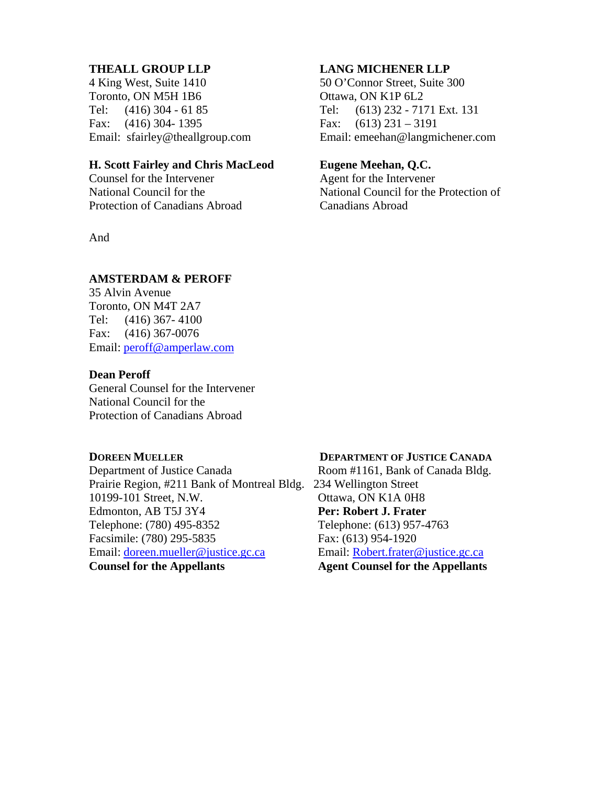## **THEALL GROUP LLP**

4 King West, Suite 1410 Toronto, ON M5H 1B6 Tel: (416) 304 - 61 85 Fax: (416) 304- 1395 Email: sfairley@theallgroup.com

## **H. Scott Fairley and Chris MacLeod**

Counsel for the Intervener National Council for the Protection of Canadians Abroad

And

## **AMSTERDAM & PEROFF**

35 Alvin Avenue Toronto, ON M4T 2A7 Tel: (416) 367- 4100 Fax: (416) 367-0076 Email: [peroff@amperlaw.com](mailto:peroff@amperlaw.com)

### **Dean Peroff**

General Counsel for the Intervener National Council for the Protection of Canadians Abroad

Prairie Region, #211 Bank of Montreal Bldg. 234 Wellington Street 10199-101 Street, N.W. Ottawa, ON K1A 0H8 Edmonton, AB T5J 3Y4 **Per: Robert J. Frater** Telephone: (780) 495-8352 Telephone: (613) 957-4763 Facsimile: (780) 295-5835 Fax: (613) 954-1920 Email: [doreen.mueller@justice.gc.ca](mailto:doreen.mueller@justice.gc.ca) Email: [Robert.frater@justice.gc.ca](mailto:Robert.frater@justice.gc.ca) **Counsel for the Appellants Agent Counsel for the Appellants** 

## **LANG MICHENER LLP**

50 O'Connor Street, Suite 300 Ottawa, ON K1P 6L2 Tel: (613) 232 - 7171 Ext. 131 Fax:  $(613)$  231 – 3191 Email: emeehan@langmichener.com

## **Eugene Meehan, Q.C.**

Agent for the Intervener National Council for the Protection of Canadians Abroad

#### **DOREEN MUELLER DEPARTMENT OF JUSTICE CANADA**

Department of Justice Canada Room #1161, Bank of Canada Bldg.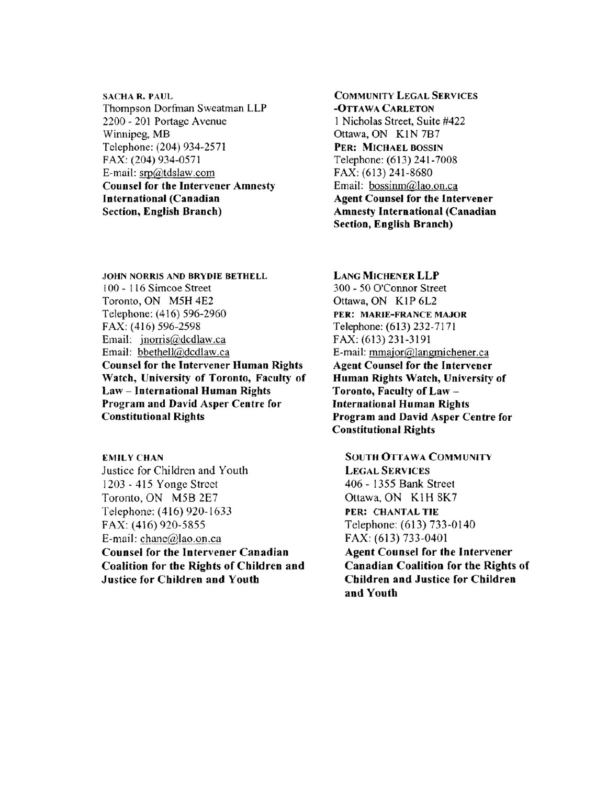**SACHA R. PAUL** Thompson Dorfman Sweatman LLP 2200 - 201 Portage Avenue Winnipeg, MB Telephone: (204) 934-2571 FAX: (204) 934-0571 E-mail: srp@tdslaw.com **Counsel for the Intervener Amnesty International (Canadian** Section, English Branch)

**JOHN NORRIS AND BRYDIE BETHELL** 100 - 116 Simcoe Street Toronto, ON M5H 4E2 Telephone: (416) 596-2960 FAX: (416) 596-2598 Email: jnorris@dcdlaw.ca Email: bbethell@dcdlaw.ca **Counsel for the Intervener Human Rights** Watch, University of Toronto, Faculty of **Law-International Human Rights** Program and David Asper Centre for **Constitutional Rights** 

**EMILY CHAN** Justice for Children and Youth 1203 - 415 Yonge Street Toronto, ON M5B 2E7 Telephone: (416) 920-1633 FAX: (416) 920-5855 E-mail: chane@lao.on.ca **Counsel for the Intervener Canadian Coalition for the Rights of Children and Justice for Children and Youth** 

**COMMUNITY LEGAL SERVICES** -OTTAWA CARLETON 1 Nicholas Street, Suite #422 Ottawa, ON K1N7B7 PER: MICHAEL BOSSIN Telephone: (613) 241-7008 FAX: (613) 241-8680 Email: bossinm@lao.on.ca **Agent Counsel for the Intervener Amnesty International (Canadian Section, English Branch)** 

**LANG MICHENER LLP** 300 - 50 O'Connor Street Ottawa, ON K1P 6L2 PER: MARIE-FRANCE MAJOR Telephone: (613) 232-7171 FAX: (613) 231-3191 E-mail: mmajor@langmichener.ca **Agent Counsel for the Intervener** Human Rights Watch, University of Toronto, Faculty of Law-**International Human Rights** Program and David Asper Centre for **Constitutional Rights** 

**SOUTH OTTAWA COMMUNITY LEGAL SERVICES** 406 - 1355 Bank Street Ottawa, ON K1H 8K7 PER: CHANTAL TIE Telephone: (613) 733-0140 FAX: (613) 733-0401

**Agent Counsel for the Intervener Canadian Coalition for the Rights of Children and Justice for Children** and Youth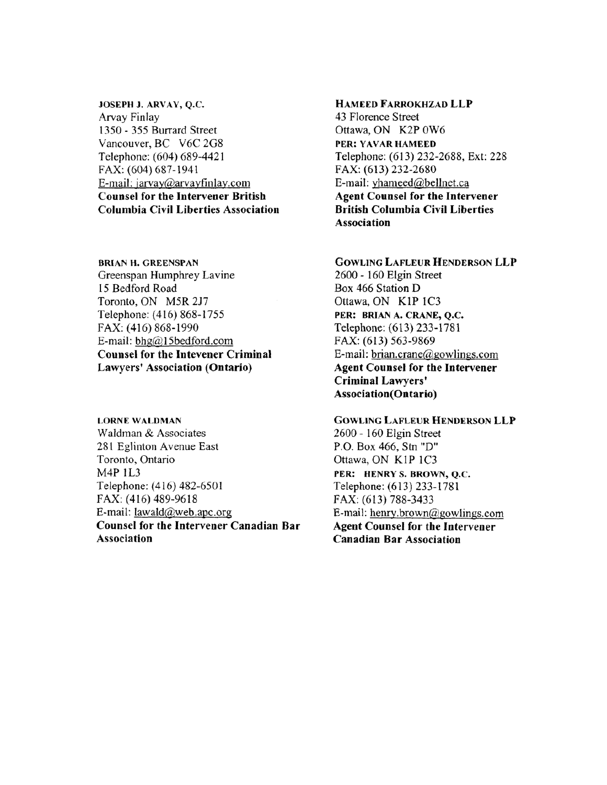JOSEPH J. ARVAY, Q.C. Arvay Finlay 1350 - 355 Burrard Street Vancouver, BC V6C 2G8 Telephone: (604) 689-4421 FAX: (604) 687-1941 E-mail: jarvay@arvayfinlay.com **Counsel for the Intervener British Columbia Civil Liberties Association** 

**BRIAN H. GREENSPAN** Greenspan Humphrey Lavine 15 Bedford Road Toronto, ON M5R 2J7 Telephone: (416) 868-1755 FAX: (416) 868-1990 E-mail: bhg@15bedford.com **Counsel for the Intevener Criminal** Lawyers' Association (Ontario)

**LORNE WALDMAN** Waldman & Associates 281 Eglinton Avenue East Toronto, Ontario M4P 1L3 Telephone: (416) 482-6501 FAX: (416) 489-9618 E-mail:  $lawald@web.apc.org$ Counsel for the Intervener Canadian Bar Association

## HAMEED FARROKHZAD LLP

43 Florence Street Ottawa, ON K2P 0W6 PER: YAVAR HAMEED Telephone: (613) 232-2688, Ext: 228 FAX: (613) 232-2680 E-mail: yhameed@bellnet.ca **Agent Counsel for the Intervener British Columbia Civil Liberties** Association

**GOWLING LAFLEUR HENDERSON LLP** 2600 - 160 Elgin Street Box 466 Station D Ottawa, ON K1P 1C3 PER: BRIAN A. CRANE, Q.C. Telephone: (613) 233-1781 FAX: (613) 563-9869 E-mail: brian.crane@gowlings.com **Agent Counsel for the Intervener** Criminal Lawyers' **Association**(Ontario)

**GOWLING LAFLEUR HENDERSON LLP** 2600 - 160 Elgin Street P.O. Box 466, Stn "D" Ottawa, ON K1P 1C3 PER: HENRY S. BROWN, Q.C. Telephone: (613) 233-1781 FAX: (613) 788-3433 E-mail: henry.brown@gowlings.com **Agent Counsel for the Intervener Canadian Bar Association**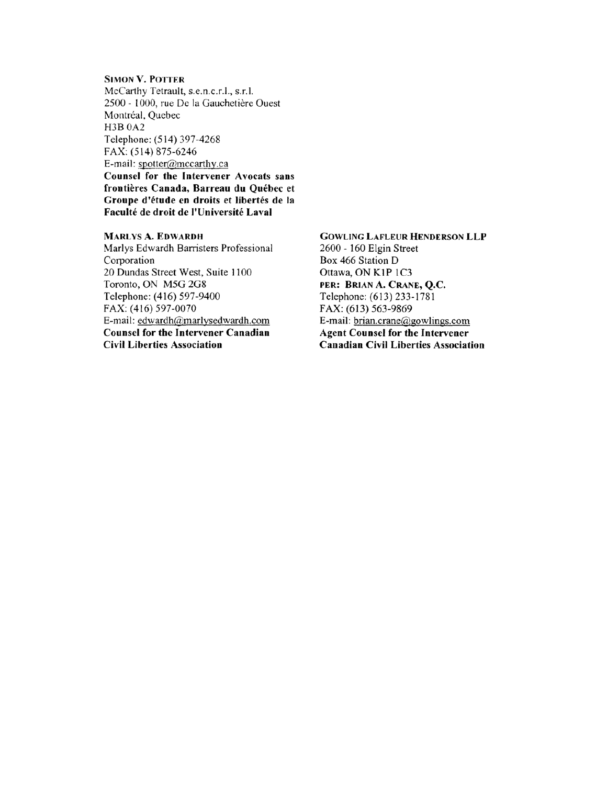#### **SIMON V. POTTER**

McCarthy Tetrault, s.e.n.c.r.l., s.r.l. 2500 - 1000, rue De la Gauchetière Ouest Montréal, Quebec H3B 0A2 Telephone: (514) 397-4268 FAX: (514) 875-6246 E-mail: spotter@mccarthy.ca

Counsel for the Intervener Avocats sans frontières Canada, Barreau du Québec et Groupe d'étude en droits et libertés de la Faculté de droit de l'Université Laval

#### **MARLYS A. EDWARDH**

Marlys Edwardh Barristers Professional Corporation 20 Dundas Street West, Suite 1100 Toronto, ON M5G 2G8 Telephone: (416) 597-9400 FAX: (416) 597-0070 E-mail: edwardh@marlysedwardh.com **Counsel for the Intervener Canadian Civil Liberties Association** 

**GOWLING LAFLEUR HENDERSON LLP** 2600 - 160 Elgin Street Box 466 Station D Ottawa, ON K1P 1C3 PER: BRIAN A. CRANE, O.C. Telephone: (613) 233-1781 FAX: (613) 563-9869 E-mail: brian.crane@gowlings.com **Agent Counsel for the Intervener Canadian Civil Liberties Association**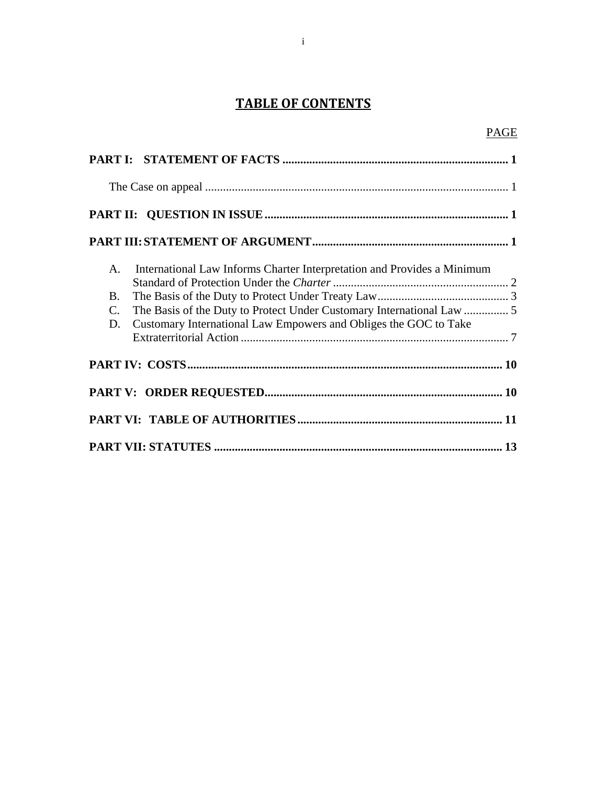# **TABLE OF CONTENTS**

| A.                | International Law Informs Charter Interpretation and Provides a Minimum |  |
|-------------------|-------------------------------------------------------------------------|--|
| B.                |                                                                         |  |
| $C_{\cdot}$<br>D. | Customary International Law Empowers and Obliges the GOC to Take        |  |
|                   |                                                                         |  |
|                   |                                                                         |  |
|                   |                                                                         |  |
|                   |                                                                         |  |
|                   |                                                                         |  |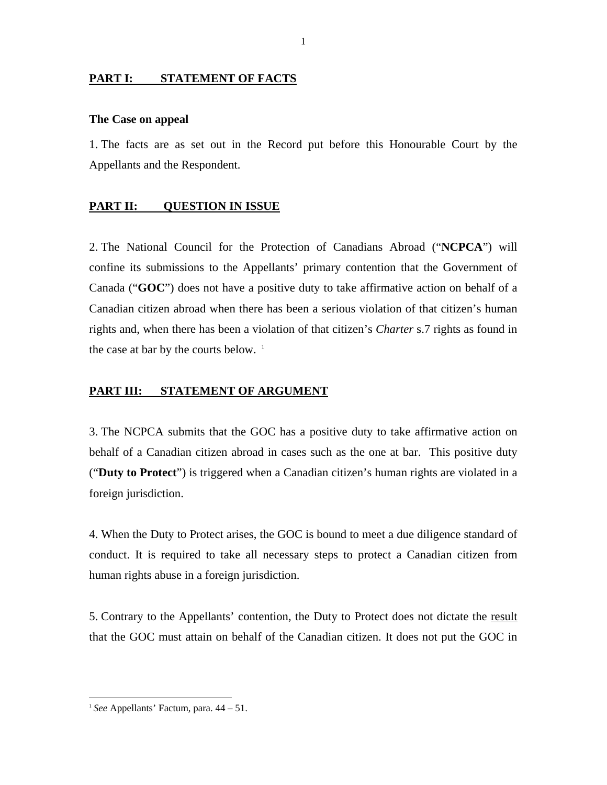#### <span id="page-6-0"></span>**PART I: STATEMENT OF FACTS**

#### <span id="page-6-1"></span>**The Case on appeal**

1. The facts are as set out in the Record put before this Honourable Court by the Appellants and the Respondent.

#### <span id="page-6-2"></span>**PART II: QUESTION IN ISSUE**

2. The National Council for the Protection of Canadians Abroad ("**NCPCA**") will confine its submissions to the Appellants' primary contention that the Government of Canada ("**GOC**") does not have a positive duty to take affirmative action on behalf of a Canadian citizen abroad when there has been a serious violation of that citizen's human rights and, when there has been a violation of that citizen's *Charter* s.7 rights as found in the case at bar by the courts below.  $<sup>1</sup>$  $<sup>1</sup>$  $<sup>1</sup>$ </sup>

## <span id="page-6-3"></span>**PART III: STATEMENT OF ARGUMENT**

3. The NCPCA submits that the GOC has a positive duty to take affirmative action on behalf of a Canadian citizen abroad in cases such as the one at bar. This positive duty ("**Duty to Protect**") is triggered when a Canadian citizen's human rights are violated in a foreign jurisdiction.

4. When the Duty to Protect arises, the GOC is bound to meet a due diligence standard of conduct. It is required to take all necessary steps to protect a Canadian citizen from human rights abuse in a foreign jurisdiction.

5. Contrary to the Appellants' contention, the Duty to Protect does not dictate the result that the GOC must attain on behalf of the Canadian citizen. It does not put the GOC in

<span id="page-6-4"></span><sup>1</sup> *See* Appellants' Factum, para. 44 – 51.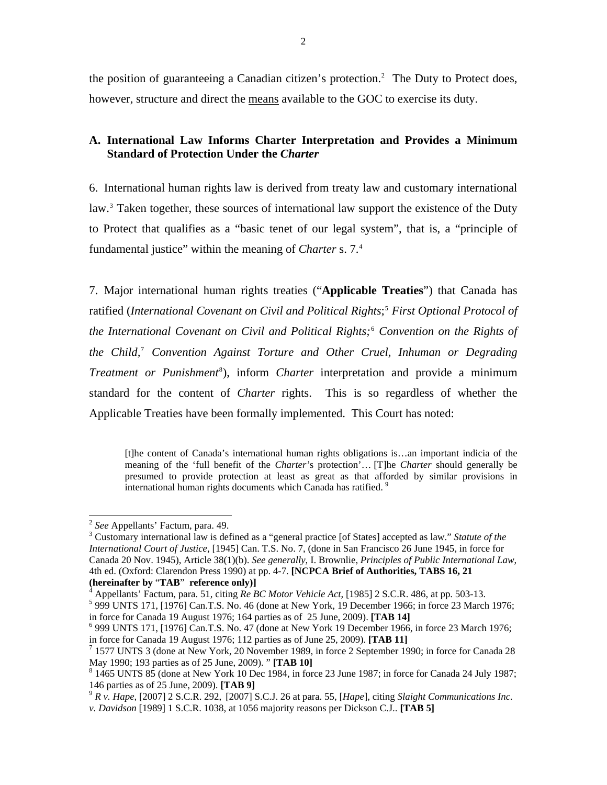the position of guaranteeing a Canadian citizen's protection.<sup>2</sup> The Duty to Protect does, however, structure and direct the means available to the GOC to exercise its duty.

## <span id="page-7-0"></span>**A. International Law Informs Charter Interpretation and Provides a Minimum Standard of Protection Under the** *Charter*

6. International human rights law is derived from treaty law and customary international law.<sup>[3](#page-7-1)</sup> Taken together, these sources of international law support the existence of the Duty to Protect that qualifies as a "basic tenet of our legal system", that is, a "principle of fundamental justice" within the meaning of *Charter* s. 7[.4](#page-7-2)

7. Major international human rights treaties ("**Applicable Treaties**") that Canada has ratified (*International Covenant on Civil and Political Rights*; [5](#page-7-3)  *First Optional Protocol of the International Covenant on Civil and Political Rights;*[6](#page-7-4) *Convention on the Rights of the Child,*[7](#page-7-5)  *Convention Against Torture and Other Cruel, Inhuman or Degrading Treatment or Punishment<sup>[8](#page-7-6)</sup>*), inform *Charter* interpretation and provide a minimum standard for the content of *Charter* rights. This is so regardless of whether the Applicable Treaties have been formally implemented. This Court has noted:

[t]he content of Canada's international human rights obligations is…an important indicia of the meaning of the 'full benefit of the *Charter'*s protection'… [T]he *Charter* should generally be presumed to provide protection at least as great as that afforded by similar provisions in international human rights documents which Canada has ratified.<sup>[9](#page-7-7)</sup>

<sup>2</sup> *See* Appellants' Factum, para. 49. 3

<span id="page-7-1"></span>Customary international law is defined as a "general practice [of States] accepted as law." *Statute of the International Court of Justice*, [1945] Can. T.S. No. 7, (done in San Francisco 26 June 1945, in force for Canada 20 Nov. 1945), Article 38(1)(b). *See generally*, I. Brownlie, *Principles of Public International Law*, 4th ed. (Oxford: Clarendon Press 1990) at pp. 4-7. **[NCPCA Brief of Authorities, TABS 16, 21 (hereinafter by** "**TAB**" **reference only)]** <sup>4</sup>

<sup>&</sup>lt;sup>4</sup> Appellants' Factum, para. 51, citing *Re BC Motor Vehicle Act*, [1985] 2 S.C.R. 486, at pp. 503-13.

<span id="page-7-3"></span><span id="page-7-2"></span> $5999$  UNTS 171, [1976] Can.T.S. No. 46 (done at New York, 19 December 1966; in force 23 March 1976; in force for Canada 19 August 1976; 164 parties as of 25 June, 2009). **[TAB 14]** <sup>6</sup>

<span id="page-7-4"></span> <sup>999</sup> UNTS 171, [1976] Can.T.S. No. 47 (done at New York 19 December 1966, in force 23 March 1976; in force for Canada 19 August 1976; 112 parties as of June 25, 2009). **[TAB 11]** <sup>7</sup>

<span id="page-7-5"></span> $<sup>7</sup>$  1577 UNTS 3 (done at New York, 20 November 1989, in force 2 September 1990; in force for Canada 28</sup> May 1990; 193 parties as of 25 June, 2009). " **[TAB 10]** <sup>8</sup>

<span id="page-7-6"></span> <sup>1465</sup> UNTS 85 (done at New York 10 Dec 1984, in force 23 June 1987; in force for Canada 24 July 1987; 146 parties as of 25 June, 2009). **[TAB 9]** <sup>9</sup> *R v. Hape,* [\[2007\] 2 S.C.R. 292](http://www.lexisnexis.com/ca/legal/search/runRemoteLink.do?langcountry=CA&linkInfo=F%23CA%23SCR%23sel2%252%25year%252007%25page%25292%25sel1%252007%25vol%252%25&risb=21_T7634472552&bct=A&service=citation&A=0.8552540450915634), [2007] S.C.J. 26 at para. 55, [*Hape*], citing *Slaight Communications Inc.* 

<span id="page-7-7"></span>

*v. Davidson* [1989] 1 S.C.R. 1038, at 1056 majority reasons per Dickson C.J.. **[TAB 5]**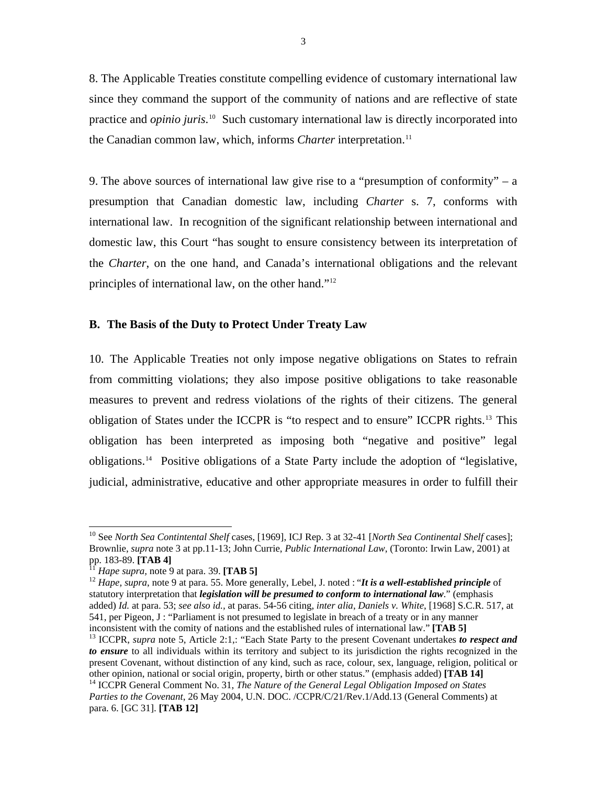8. The Applicable Treaties constitute compelling evidence of customary international law since they command the support of the community of nations and are reflective of state practice and *opinio juris*.<sup>[10](#page-8-1)</sup> Such customary international law is directly incorporated into the Canadian common law, which, informs *Charter* interpretation.<sup>[11](#page-8-2)</sup>

9. The above sources of international law give rise to a "presumption of conformity" – a presumption that Canadian domestic law, including *Charter* s. 7, conforms with international law. In recognition of the significant relationship between international and domestic law, this Court "has sought to ensure consistency between its interpretation of the *Charter*, on the one hand, and Canada's international obligations and the relevant principles of international law, on the other hand."[12](#page-8-3)

#### <span id="page-8-0"></span>**B. The Basis of the Duty to Protect Under Treaty Law**

10. The Applicable Treaties not only impose negative obligations on States to refrain from committing violations; they also impose positive obligations to take reasonable measures to prevent and redress violations of the rights of their citizens. The general obligation of States under the ICCPR is "to respect and to ensure" ICCPR rights.[13](#page-8-4) This obligation has been interpreted as imposing both "negative and positive" legal obligations.[14](#page-8-5) Positive obligations of a State Party include the adoption of "legislative, judicial, administrative, educative and other appropriate measures in order to fulfill their

<span id="page-8-1"></span><sup>10</sup> See *North Sea Contintental Shelf* cases, [1969], ICJ Rep. 3 at 32-41 [*North Sea Continental Shelf* cases]; Brownlie, *supra* note 3 at pp.11-13; John Currie, *Public International Law*, (Toronto: Irwin Law, 2001) at pp. 183-89. [TAB 4]

<span id="page-8-3"></span><span id="page-8-2"></span><sup>&</sup>lt;sup>11</sup> *Hape supra*, note 9 at para. 39. **[TAB 5]** <sup>12</sup> *Hape*, *supraparally, Lebel, J. noted : "<i>It is a well-established principle* of statutory interpretation that *legislation will be presumed to conform to international law*." (emphasis added) *Id.* at para. 53; *see also id.,* at paras. 54-56 citing, *inter alia*, *Daniels v. White*, [1968] S.C.R. 517, at 541, per Pigeon, J : "Parliament is not presumed to legislate in breach of a treaty or in any manner inconsistent with the comity of nations and the established rules of international law." **[TAB 5]** 13 ICCPR, *supra* note 5, Article 2:1,: "Each State Party to the present Covenant undertakes *to respect and* 

<span id="page-8-4"></span>*to ensure* to all individuals within its territory and subject to its jurisdiction the rights recognized in the present Covenant, without distinction of any kind, such as race, colour, sex, language, religion, political or other opinion, national or social origin, property, birth or other status." (emphasis added) **[TAB 14]** 14 ICCPR General Comment No. 31, *The Nature of the General Legal Obligation Imposed on States* 

<span id="page-8-5"></span>*Parties to the Covenant*, 26 May 2004, U.N. DOC. /CCPR/C/21/Rev.1/Add.13 (General Comments) at para. 6. [GC 31]. **[TAB 12]**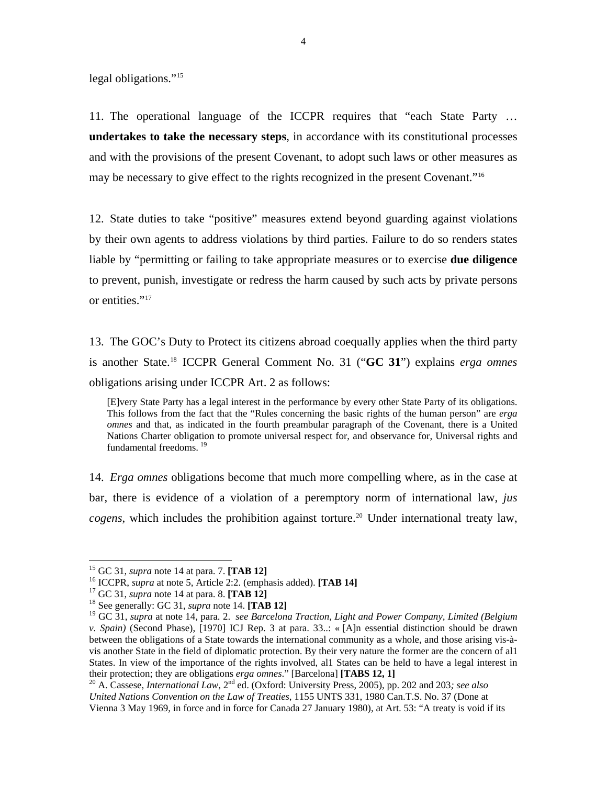legal obligations."<sup>15</sup>

11. The operational language of the ICCPR requires that "each State Party … **undertakes to take the necessary steps**, in accordance with its constitutional processes and with the provisions of the present Covenant, to adopt such laws or other measures as may be necessary to give effect to the rights recognized in the present Covenant."[16](#page-9-0)

12. State duties to take "positive" measures extend beyond guarding against violations by their own agents to address violations by third parties. Failure to do so renders states liable by "permitting or failing to take appropriate measures or to exercise **due diligence** to prevent, punish, investigate or redress the harm caused by such acts by private persons or entities."<sup>17</sup>

13. The GOC's Duty to Protect its citizens abroad coequally applies when the third party is another State.[18](#page-9-2) ICCPR General Comment No. 31 ("**GC 31**") explains *erga omnes*  obligations arising under ICCPR Art. 2 as follows:

[E]very State Party has a legal interest in the performance by every other State Party of its obligations. This follows from the fact that the "Rules concerning the basic rights of the human person" are *erga omnes* and that, as indicated in the fourth preambular paragraph of the Covenant, there is a United Nations Charter obligation to promote universal respect for, and observance for, Universal rights and fundamental freedoms.<sup>[19](#page-9-3)</sup>

14. *Erga omnes* obligations become that much more compelling where, as in the case at bar, there is evidence of a violation of a peremptory norm of international law, *jus*   $cogens$ , which includes the prohibition against torture.<sup>[20](#page-9-4)</sup> Under international treaty law,

<span id="page-9-0"></span><sup>&</sup>lt;sup>15</sup> GC 31, *supra* note 14 at para. 7. [**TAB 12**]<br><sup>16</sup> ICCPR, *supra* at note 5, Article 2:2. (emphasis added). [**TAB 14**]<br><sup>17</sup> GC 31, *supra* note 14 at para. 8. **[TAB 12]**<br><sup>18</sup> See generally: GC 31, *supra* note 14. **[** 

<span id="page-9-1"></span>

<span id="page-9-3"></span><span id="page-9-2"></span><sup>19</sup> GC 31, *supra* at note 14, para. 2. *see Barcelona Traction, Light and Power Company, Limited (Belgium v. Spain)* (Second Phase), [1970] ICJ Rep. 3 at para. 33..: « [A]n essential distinction should be drawn between the obligations of a State towards the international community as a whole, and those arising vis-àvis another State in the field of diplomatic protection. By their very nature the former are the concern of al1 States. In view of the importance of the rights involved, al1 States can be held to have a legal interest in their protection; they are obligations *erga omnes*." [Barcelona] **[TABS 12, 1]**<br><sup>20</sup> A. Cassese, *International Law*, 2<sup>nd</sup> ed. (Oxford: University Press, 2005), pp. 202 and 203*; see also* 

<span id="page-9-4"></span>*United Nations Convention on the Law of Treaties*, 1155 UNTS 331, 1980 Can.T.S. No. 37 (Done at Vienna 3 May 1969, in force and in force for Canada 27 January 1980), at Art. 53: "A treaty is void if its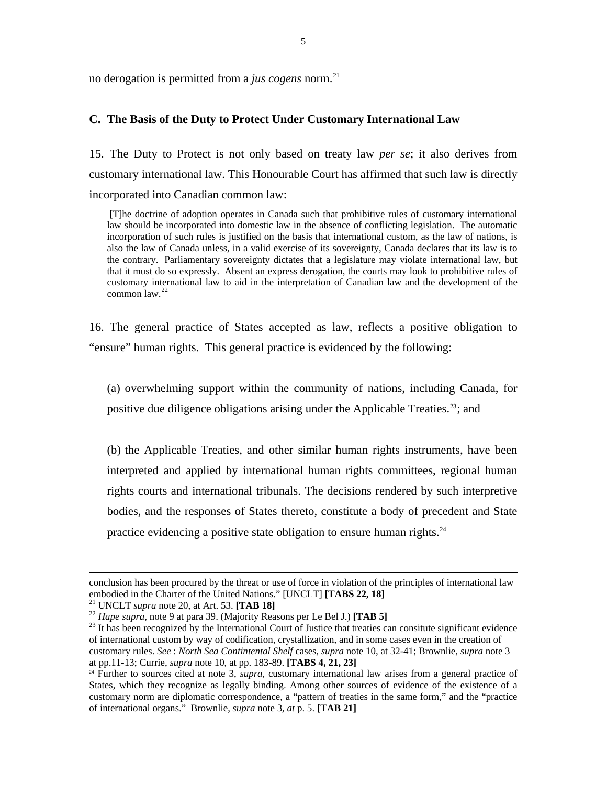no derogation is permitted from a *jus cogens* norm.<sup>21</sup>

### <span id="page-10-0"></span>**C. The Basis of the Duty to Protect Under Customary International Law**

15. The Duty to Protect is not only based on treaty law *per se*; it also derives from customary international law. This Honourable Court has affirmed that such law is directly incorporated into Canadian common law:

 [T]he doctrine of adoption operates in Canada such that prohibitive rules of customary international law should be incorporated into domestic law in the absence of conflicting legislation. The automatic incorporation of such rules is justified on the basis that international custom, as the law of nations, is also the law of Canada unless, in a valid exercise of its sovereignty, Canada declares that its law is to the contrary. Parliamentary sovereignty dictates that a legislature may violate international law, but that it must do so expressly. Absent an express derogation, the courts may look to prohibitive rules of customary international law to aid in the interpretation of Canadian law and the development of the common law.<sup>[22](#page-10-1)</sup>

16. The general practice of States accepted as law, reflects a positive obligation to "ensure" human rights. This general practice is evidenced by the following:

(a) overwhelming support within the community of nations, including Canada, for positive due diligence obligations arising under the Applicable Treaties.<sup>[23](#page-10-2)</sup>; and

(b) the Applicable Treaties, and other similar human rights instruments, have been interpreted and applied by international human rights committees, regional human rights courts and international tribunals. The decisions rendered by such interpretive bodies, and the responses of States thereto, constitute a body of precedent and State practice evidencing a positive state obligation to ensure human rights.<sup>[24](#page-10-3)</sup>

conclusion has been procured by the threat or use of force in violation of the principles of international law embodied in the Charter of the United Nations." [UNCLT] [TABS 22, 18]<br><sup>21</sup> UNCLT *supra* note 20, at Art. 53. [TAB 18]<br><sup>22</sup> Hape *supra*, note 9 at para 39. (Majority Reasons per Le Bel J.) [TAB 5]<br><sup>23</sup> It has been recogn

<span id="page-10-1"></span>

<span id="page-10-2"></span>of international custom by way of codification, crystallization, and in some cases even in the creation of customary rules. *See* : *North Sea Contintental Shelf* cases, *supra* note 10, at 32-41; Brownlie, *supra* note 3 at pp.11-13; Currie, *supra* note 10, at pp. 183-89. **[TABS 4, 21, 23]**

<span id="page-10-3"></span><sup>&</sup>lt;sup>24</sup> Further to sources cited at note 3, *supra*, customary international law arises from a general practice of States, which they recognize as legally binding. Among other sources of evidence of the existence of a customary norm are diplomatic correspondence, a "pattern of treaties in the same form," and the "practice of international organs." Brownlie, *supra* note 3*, at* p. 5. **[TAB 21]**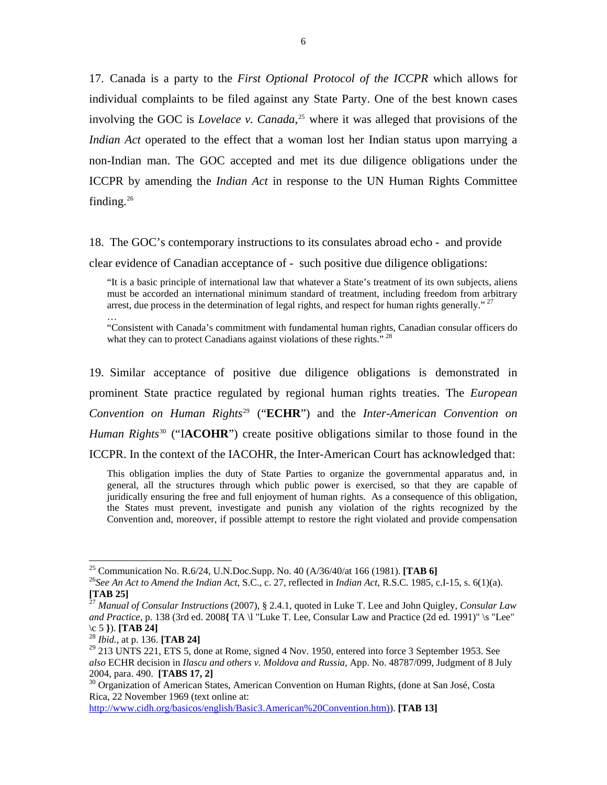17. Canada is a party to the *First Optional Protocol of the ICCPR* which allows for individual complaints to be filed against any State Party. One of the best known cases involving the GOC is *Lovelace v. Canada*, [25](#page-11-0) where it was alleged that provisions of the *Indian Act* operated to the effect that a woman lost her Indian status upon marrying a non-Indian man. The GOC accepted and met its due diligence obligations under the ICCPR by amending the *Indian Act* in response to the UN Human Rights Committee finding.<sup>[26](#page-11-1)</sup>

18. The GOC's contemporary instructions to its consulates abroad echo - and provide

clear evidence of Canadian acceptance of - such positive due diligence obligations:

"It is a basic principle of international law that whatever a State's treatment of its own subjects, aliens must be accorded an international minimum standard of treatment, including freedom from arbitrary arrest, due process in the determination of legal rights, and respect for human rights generally."<sup>[27](#page-11-2)</sup> …

"Consistent with Canada's commitment with fundamental human rights, Canadian consular officers do what they can to protect Canadians against violations of these rights.<sup>"[28](#page-11-3)</sup>

19. Similar acceptance of positive due diligence obligations is demonstrated in prominent State practice regulated by regional human rights treaties. The *European Convention on Human Rights*[29](#page-11-4) ("**ECHR**") and the *Inter-American Convention on Human Rights*<sup>[30](#page-11-5)</sup> ("**IACOHR**") create positive obligations similar to those found in the ICCPR. In the context of the IACOHR, the Inter-American Court has acknowledged that:

This obligation implies the duty of State Parties to organize the governmental apparatus and, in general, all the structures through which public power is exercised, so that they are capable of juridically ensuring the free and full enjoyment of human rights. As a consequence of this obligation, the States must prevent, investigate and punish any violation of the rights recognized by the Convention and, moreover, if possible attempt to restore the right violated and provide compensation

 $\overline{a}$ 

[http://www.cidh.org/basicos/english/Basic3.American%20Convention.htm\)](http://www.cidh.org/basicos/english/Basic3.American%20Convention.htm))). **[TAB 13]**

<span id="page-11-1"></span><span id="page-11-0"></span><sup>&</sup>lt;sup>25</sup> Communication No. R.6/24, U.N.Doc.Supp. No. 40 (A/36/40/at 166 (1981). **[TAB 6]**<br><sup>26</sup>*See An Act to Amend the Indian Act*, S.C., c. 27, reflected in *Indian Act*, R.S.C. 1985, c.I-15, s. 6(1)(a). **[TAB 25]**

<span id="page-11-2"></span><sup>27</sup> *Manual of Consular Instructions* (2007), § 2.4.1, quoted in Luke T. Lee and John Quigley, *Consular Law and Practice*, p. 138 (3rd ed. 2008**{** TA \l "Luke T. Lee, Consular Law and Practice (2d ed. 1991)" \s "Lee" \c 5 **}**). **[TAB 24]** <sup>28</sup> *Ibid.*, at p. 136. **[TAB 24]**

<span id="page-11-4"></span><span id="page-11-3"></span> $29$  213 UNTS 221, ETS 5, done at Rome, signed 4 Nov. 1950, entered into force 3 September 1953. See *also* ECHR decision in *Ilascu and others v. Moldova and Russia*, App. No. 48787/099, Judgment of 8 July

<span id="page-11-5"></span><sup>&</sup>lt;sup>30</sup> Organization of American States, American Convention on Human Rights, (done at San José, Costa Rica, 22 November 1969 (text online at: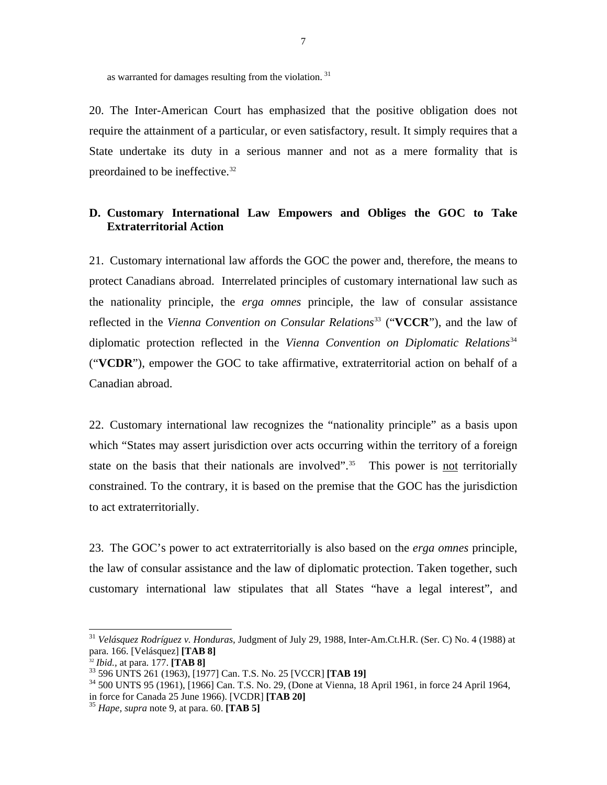as warranted for damages resulting from the violation. [31](#page-12-1)

20. The Inter-American Court has emphasized that the positive obligation does not require the attainment of a particular, or even satisfactory, result. It simply requires that a State undertake its duty in a serious manner and not as a mere formality that is preordained to be ineffective.[32](#page-12-2)

## <span id="page-12-0"></span>**D. Customary International Law Empowers and Obliges the GOC to Take Extraterritorial Action**

21. Customary international law affords the GOC the power and, therefore, the means to protect Canadians abroad. Interrelated principles of customary international law such as the nationality principle, the *erga omnes* principle, the law of consular assistance reflected in the *Vienna Convention on Consular Relations*<sup>[33](#page-12-3)</sup> ("**VCCR**"), and the law of diplomatic protection reflected in the *Vienna Convention on Diplomatic Relations*[34](#page-12-4) ("**VCDR**"), empower the GOC to take affirmative, extraterritorial action on behalf of a Canadian abroad.

22. Customary international law recognizes the "nationality principle" as a basis upon which "States may assert jurisdiction over acts occurring within the territory of a foreign state on the basis that their nationals are involved".<sup>[35](#page-12-5)</sup> This power is not territorially constrained. To the contrary, it is based on the premise that the GOC has the jurisdiction to act extraterritorially.

23. The GOC's power to act extraterritorially is also based on the *erga omnes* principle, the law of consular assistance and the law of diplomatic protection. Taken together, such customary international law stipulates that all States "have a legal interest", and

<span id="page-12-1"></span><sup>31</sup> *Velásquez Rodríguez v. Honduras,* Judgment of July 29, 1988, Inter-Am.Ct.H.R. (Ser. C) No. 4 (1988) at para. 166. [Velásquez] **[TAB 8]**

<span id="page-12-3"></span><span id="page-12-2"></span><sup>&</sup>lt;sup>32</sup> *Ibid.*, at para. 177. **[TAB 8]**<br><sup>33</sup> 596 UNTS 261 (1963), [1977] Can. T.S. No. 25 [VCCR] **[TAB 19]**<br><sup>34</sup> 500 UNTS 95 (1961), [1966] Can. T.S. No. 29, (Done at Vienna, 18 April 1961, in force 24 April 1964,

<span id="page-12-5"></span><span id="page-12-4"></span>in force for Canada 25 June 1966). [VCDR] **[TAB 20]** <sup>35</sup> *Hape, supra* note 9, at para. 60. **[TAB 5]**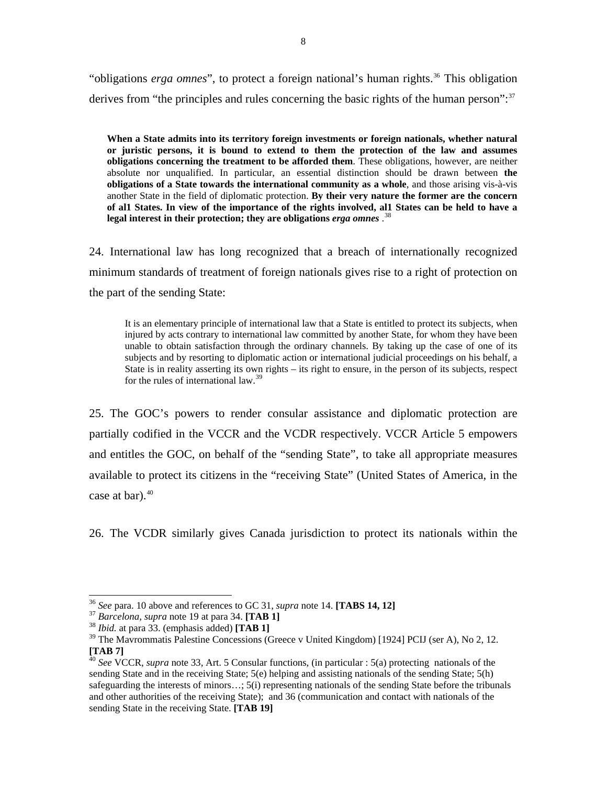"obligations *erga omnes*", to protect a foreign national's human rights.<sup>36</sup> This obligation derives from "the principles and rules concerning the basic rights of the human person":<sup>37</sup>

**When a State admits into its territory foreign investments or foreign nationals, whether natural or juristic persons, it is bound to extend to them the protection of the law and assumes obligations concerning the treatment to be afforded them**. These obligations, however, are neither absolute nor unqualified. In particular, an essential distinction should be drawn between **the obligations of a State towards the international community as a whole**, and those arising vis-à-vis another State in the field of diplomatic protection. **By their very nature the former are the concern of al1 States. In view of the importance of the rights involved, al1 States can be held to have a legal interest in their protection; they are obligations** *erga omnes* . [38](#page-13-0)

24. International law has long recognized that a breach of internationally recognized minimum standards of treatment of foreign nationals gives rise to a right of protection on the part of the sending State:

It is an elementary principle of international law that a State is entitled to protect its subjects, when injured by acts contrary to international law committed by another State, for whom they have been unable to obtain satisfaction through the ordinary channels. By taking up the case of one of its subjects and by resorting to diplomatic action or international judicial proceedings on his behalf, a State is in reality asserting its own rights – its right to ensure, in the person of its subjects, respect for the rules of international law.<sup>[39](#page-13-1)</sup>

25. The GOC's powers to render consular assistance and diplomatic protection are partially codified in the VCCR and the VCDR respectively. VCCR Article 5 empowers and entitles the GOC, on behalf of the "sending State", to take all appropriate measures available to protect its citizens in the "receiving State" (United States of America, in the case at bar).<sup>[40](#page-13-2)</sup>

26. The VCDR similarly gives Canada jurisdiction to protect its nationals within the

<sup>&</sup>lt;sup>36</sup> See para. 10 above and references to GC 31, *supra* note 14. [**TABS 14, 12**]<br><sup>37</sup> Barcelona, *supra* note 19 at para 34. [**TAB 1**]<br><sup>38</sup> Ibid. at para 33. (emphasis added) [**TAB 1**]

<span id="page-13-1"></span><span id="page-13-0"></span><sup>&</sup>lt;sup>39</sup> The Mayrommatis Palestine Concessions (Greece v United Kingdom) [1924] PCIJ (ser A), No 2, 12. **[TAB 7]**

<span id="page-13-2"></span><sup>40</sup> *See* VCCR, *supra* note 33, Art. 5 Consular functions, (in particular : 5(a) protecting nationals of the sending State and in the receiving State; 5(e) helping and assisting nationals of the sending State; 5(h) safeguarding the interests of minors...; 5(i) representing nationals of the sending State before the tribunals and other authorities of the receiving State); and 36 (communication and contact with nationals of the sending State in the receiving State. **[TAB 19]**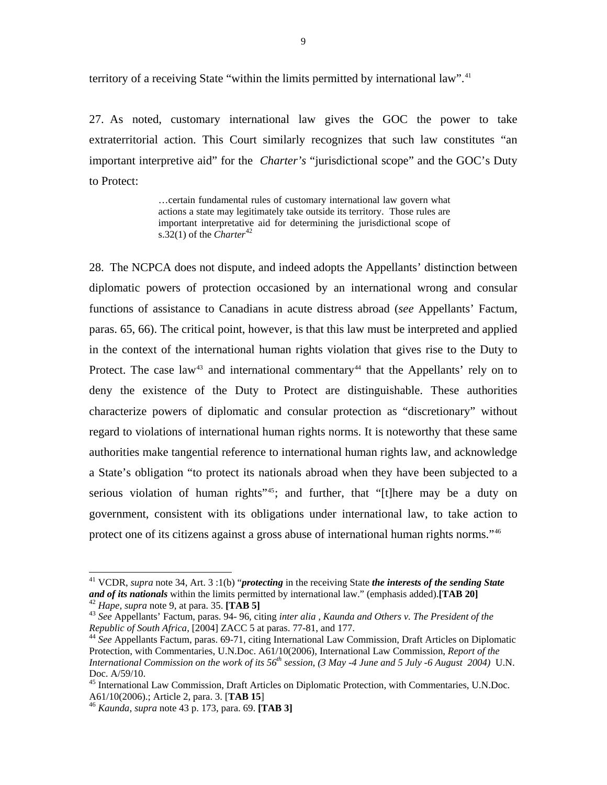territory of a receiving State "within the limits permitted by international law".<sup>41</sup>

27. As noted, customary international law gives the GOC the power to take extraterritorial action. This Court similarly recognizes that such law constitutes "an important interpretive aid" for the *Charter's* "jurisdictional scope" and the GOC's Duty to Protect:

> …certain fundamental rules of customary international law govern what actions a state may legitimately take outside its territory. Those rules are important interpretative aid for determining the jurisdictional scope of s.32(1) of the *Charter*<sup>[42](#page-14-0)</sup>

28. The NCPCA does not dispute, and indeed adopts the Appellants' distinction between diplomatic powers of protection occasioned by an international wrong and consular functions of assistance to Canadians in acute distress abroad (*see* Appellants' Factum, paras. 65, 66). The critical point, however, is that this law must be interpreted and applied in the context of the international human rights violation that gives rise to the Duty to Protect. The case law<sup>[43](#page-14-1)</sup> and international commentary<sup>[44](#page-14-2)</sup> that the Appellants' rely on to deny the existence of the Duty to Protect are distinguishable. These authorities characterize powers of diplomatic and consular protection as "discretionary" without regard to violations of international human rights norms. It is noteworthy that these same authorities make tangential reference to international human rights law, and acknowledge a State's obligation "to protect its nationals abroad when they have been subjected to a serious violation of human rights<sup>"[45](#page-14-3)</sup>; and further, that "[t]here may be a duty on government, consistent with its obligations under international law, to take action to protect one of its citizens against a gross abuse of international human rights norms."[46](#page-14-4)

<sup>&</sup>lt;sup>41</sup> VCDR, *supra* note 34, Art. 3 :1(b) "*protecting* in the receiving State *the interests of the sending State* and of its nationals within the limits permitted by international law." (emphasis added).[TAB 20]

<span id="page-14-1"></span><span id="page-14-0"></span><sup>&</sup>lt;sup>42</sup> Hape, supra note 9, at para. 35. [TAB 5]<br><sup>43</sup> See Appellants' Factum, paras. 94- 96, citing *inter alia, Kaunda and Others v. The President of the Republic of South Africa*, [2004] ZACC 5 at paras. 77-81, and 177.<br><sup>44</sup> *See* Appellants Factum, paras. 69-71, citing International Law Commission, Draft Articles on Diplomatic

<span id="page-14-2"></span>Protection, with Commentaries, U.N.Doc. A61/10(2006), International Law Commission, *Report of the International Commission on the work of its 56th session*, *(3 May -4 June and 5 July -6 August 2004)* U.N. Doc. A/59/10.

<span id="page-14-3"></span><sup>&</sup>lt;sup>45</sup> International Law Commission, Draft Articles on Diplomatic Protection, with Commentaries, U.N.Doc.  $A61/10(2006)$ .; Article 2, para. 3. [**TAB 15**]

<span id="page-14-4"></span>A61/10(2006).; Article 2, para. 3. [**TAB 15**] 46 *Kaunda*, *supra* note 43 p. 173, para. 69. **[TAB 3]**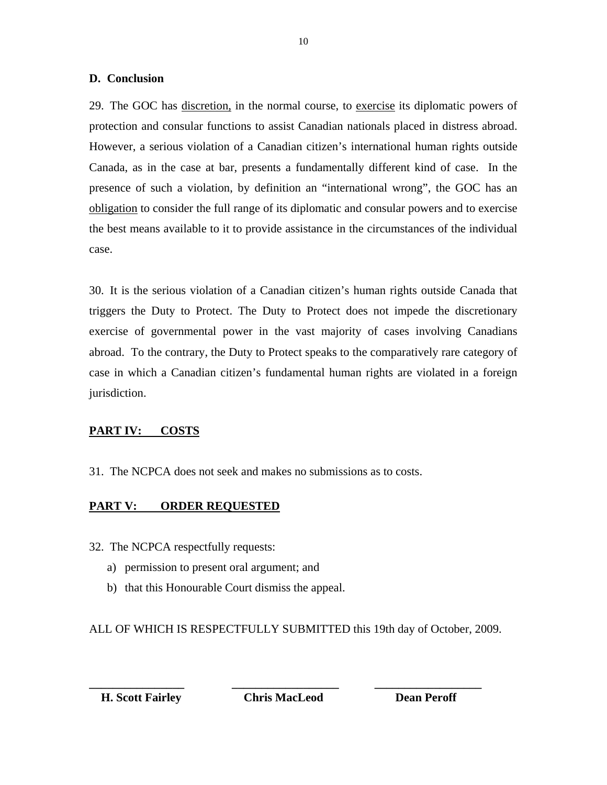## **D. Conclusion**

29. The GOC has discretion, in the normal course, to exercise its diplomatic powers of protection and consular functions to assist Canadian nationals placed in distress abroad. However, a serious violation of a Canadian citizen's international human rights outside Canada, as in the case at bar, presents a fundamentally different kind of case. In the presence of such a violation, by definition an "international wrong", the GOC has an obligation to consider the full range of its diplomatic and consular powers and to exercise the best means available to it to provide assistance in the circumstances of the individual case.

30. It is the serious violation of a Canadian citizen's human rights outside Canada that triggers the Duty to Protect. The Duty to Protect does not impede the discretionary exercise of governmental power in the vast majority of cases involving Canadians abroad. To the contrary, the Duty to Protect speaks to the comparatively rare category of case in which a Canadian citizen's fundamental human rights are violated in a foreign jurisdiction.

## <span id="page-15-0"></span>**PART IV: COSTS**

31. The NCPCA does not seek and makes no submissions as to costs.

## <span id="page-15-1"></span>**PART V: ORDER REQUESTED**

- 32. The NCPCA respectfully requests:
	- a) permission to present oral argument; and
	- b) that this Honourable Court dismiss the appeal.

ALL OF WHICH IS RESPECTFULLY SUBMITTED this 19th day of October, 2009.

**\_\_\_\_\_\_\_\_\_\_\_\_\_\_\_\_ \_\_\_\_\_\_\_\_\_\_\_\_\_\_\_\_\_\_ \_\_\_\_\_\_\_\_\_\_\_\_\_\_\_\_\_\_ H. Scott Fairley Chris MacLeod Dean Peroff**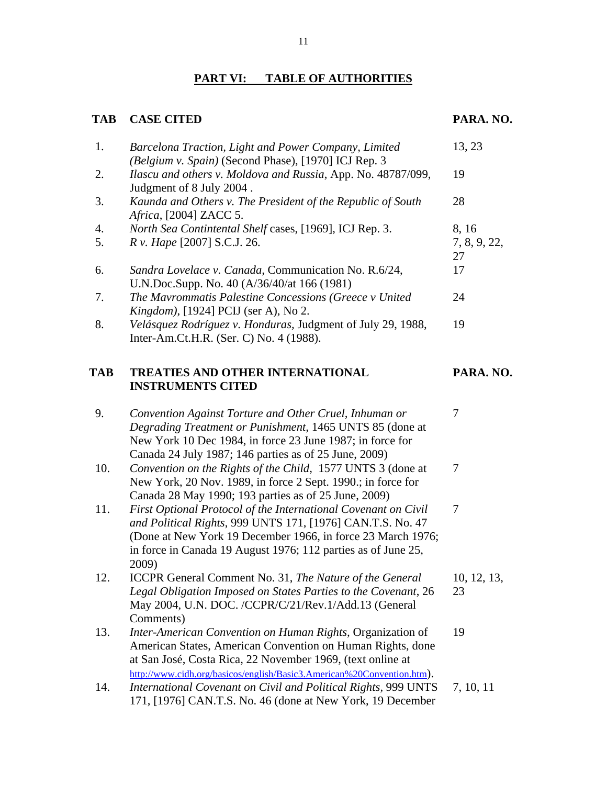# **PART VI: TABLE OF AUTHORITIES**

# <span id="page-16-0"></span>TAB CASE CITED **PARA. NO.**

| 1.  | Barcelona Traction, Light and Power Company, Limited<br>(Belgium v. Spain) (Second Phase), [1970] ICJ Rep. 3                                                                                                                                                          | 13, 23             |
|-----|-----------------------------------------------------------------------------------------------------------------------------------------------------------------------------------------------------------------------------------------------------------------------|--------------------|
| 2.  | Ilascu and others v. Moldova and Russia, App. No. 48787/099,<br>Judgment of 8 July 2004.                                                                                                                                                                              | 19                 |
| 3.  | Kaunda and Others v. The President of the Republic of South<br><i>Africa</i> , [2004] ZACC 5.                                                                                                                                                                         | 28                 |
| 4.  | North Sea Contintental Shelf cases, [1969], ICJ Rep. 3.                                                                                                                                                                                                               | 8, 16              |
| 5.  | R v. Hape [2007] S.C.J. 26.                                                                                                                                                                                                                                           | 7, 8, 9, 22,<br>27 |
| 6.  | Sandra Lovelace v. Canada, Communication No. R.6/24,<br>U.N.Doc.Supp. No. 40 (A/36/40/at 166 (1981)                                                                                                                                                                   | 17                 |
| 7.  | The Mavrommatis Palestine Concessions (Greece v United<br>Kingdom), [1924] PCIJ (ser A), No 2.                                                                                                                                                                        | 24                 |
| 8.  | Velásquez Rodríguez v. Honduras, Judgment of July 29, 1988,<br>Inter-Am.Ct.H.R. (Ser. C) No. 4 (1988).                                                                                                                                                                | 19                 |
| TAB | <b>TREATIES AND OTHER INTERNATIONAL</b><br><b>INSTRUMENTS CITED</b>                                                                                                                                                                                                   | PARA. NO.          |
| 9.  | Convention Against Torture and Other Cruel, Inhuman or<br>Degrading Treatment or Punishment, 1465 UNTS 85 (done at<br>New York 10 Dec 1984, in force 23 June 1987; in force for<br>Canada 24 July 1987; 146 parties as of 25 June, 2009)                              | 7                  |
| 10. | Convention on the Rights of the Child, 1577 UNTS 3 (done at<br>New York, 20 Nov. 1989, in force 2 Sept. 1990.; in force for<br>Canada 28 May 1990; 193 parties as of 25 June, 2009)                                                                                   | 7                  |
| 11. | First Optional Protocol of the International Covenant on Civil<br>and Political Rights, 999 UNTS 171, [1976] CAN.T.S. No. 47<br>(Done at New York 19 December 1966, in force 23 March 1976;<br>in force in Canada 19 August 1976; 112 parties as of June 25,<br>2009) | 7                  |
| 12. | ICCPR General Comment No. 31, The Nature of the General<br>Legal Obligation Imposed on States Parties to the Covenant, 26<br>May 2004, U.N. DOC. /CCPR/C/21/Rev.1/Add.13 (General<br>Comments)                                                                        | 10, 12, 13,<br>23  |
| 13. | Inter-American Convention on Human Rights, Organization of<br>American States, American Convention on Human Rights, done<br>at San José, Costa Rica, 22 November 1969, (text online at                                                                                | 19                 |
| 14. | http://www.cidh.org/basicos/english/Basic3.American%20Convention.htm).<br>International Covenant on Civil and Political Rights, 999 UNTS<br>171, [1976] CAN.T.S. No. 46 (done at New York, 19 December                                                                | 7, 10, 11          |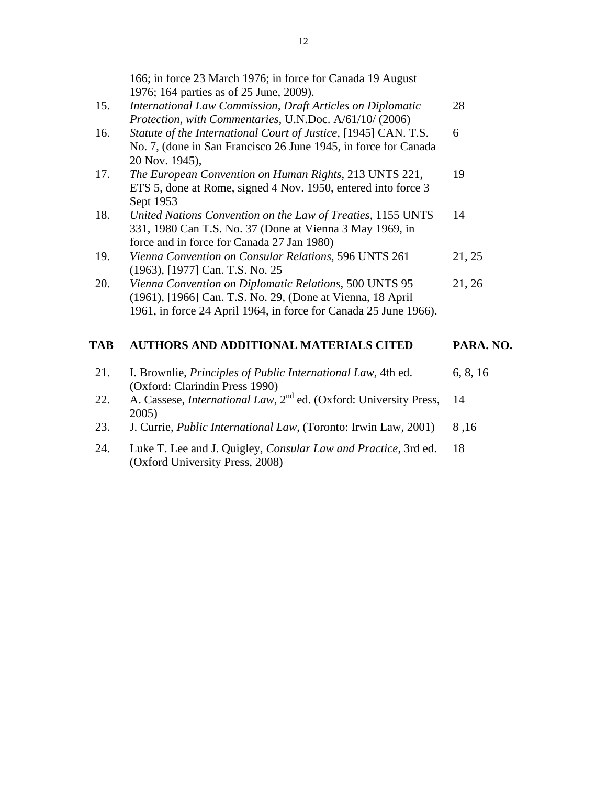|     | 1976; 164 parties as of 25 June, 2009).                         |
|-----|-----------------------------------------------------------------|
| 15. | International Law Commission, Draft Articles on Diplomatic      |
|     | Protection, with Commentaries, U.N.Doc. A/61/10/ (2006)         |
| 16. | Statute of the International Court of Justice, [1945] CAN. T.S. |
|     | No. 7, (done in San Francisco 26 June 1945, in force for Canada |
|     | 20 Nov. 1945),                                                  |
| 17. | The European Convention on Human Rights, 213 UNTS 221,          |
|     | ETS 5, done at Rome, signed 4 Nov. 1950, entered into force 3   |
|     | Sept 1953                                                       |
| 18. | United Nations Convention on the Law of Treaties, 1155 UNTS     |
|     | 331, 1980 Can T.S. No. 37 (Done at Vienna 3 May 1969, in        |
|     | force and in force for Canada 27 Jan 1980)                      |
|     |                                                                 |

166; in force 23 March 1976; in force for Canada 19 August

- 19. *Vienna Convention on Consular Relations,* 596 UNTS 261 (1963), [1977] Can. T.S. No. 25 21, 25
- 20. *Vienna Convention on Diplomatic Relations,* 500 UNTS 95 (1961), [1966] Can. T.S. No. 29, (Done at Vienna, 18 April 1961, in force 24 April 1964, in force for Canada 25 June 1966). 21, 26

## **TAB AUTHORS AND ADDITIONAL MATERIALS CITED PARA. NO.**

- 21. I. Brownlie, *Principles of Public International Law*, 4th ed. (Oxford: Clarindin Press 1990) 6, 8, 16
- 22. A. Cassese, *International Law*, 2<sup>nd</sup> ed. (Oxford: University Press, 2005) 14
- 23. J. Currie, *Public International Law*, (Toronto: Irwin Law, 2001) 8,16
- 24. Luke T. Lee and J. Quigley, *Consular Law and Practice*, 3rd ed. (Oxford University Press, 2008) 18

28

6

19

14